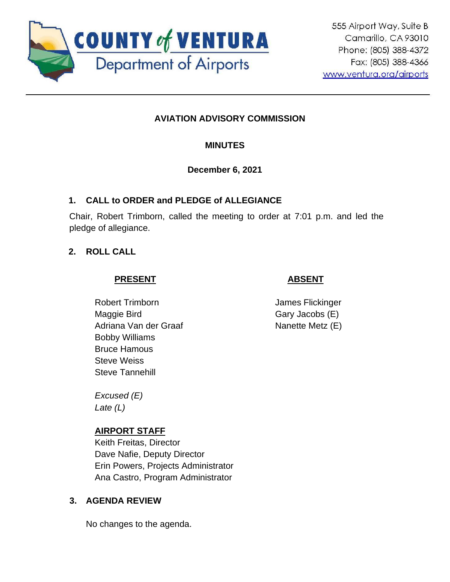

# **AVIATION ADVISORY COMMISSION**

## **MINUTES**

### **December 6, 2021**

### **1. CALL to ORDER and PLEDGE of ALLEGIANCE**

Chair, Robert Trimborn, called the meeting to order at 7:01 p.m. and led the pledge of allegiance.

### **2. ROLL CALL**

### **PRESENT**

# Robert Trimborn Maggie Bird Adriana Van der Graaf Bobby Williams Bruce Hamous Steve Weiss Steve Tannehill

*Excused (E) Late (L)*

## **AIRPORT STAFF**

Keith Freitas, Director Dave Nafie, Deputy Director Erin Powers, Projects Administrator Ana Castro, Program Administrator

## **3. AGENDA REVIEW**

No changes to the agenda.

James Flickinger

 **ABSENT**

Gary Jacobs (E) Nanette Metz (E)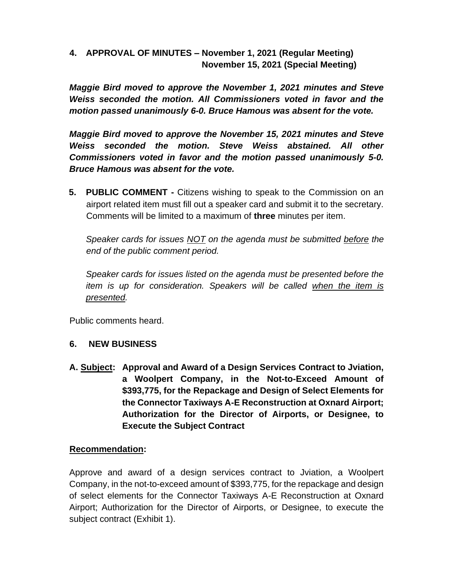### **4. APPROVAL OF MINUTES – November 1, 2021 (Regular Meeting) November 15, 2021 (Special Meeting)**

*Maggie Bird moved to approve the November 1, 2021 minutes and Steve Weiss seconded the motion. All Commissioners voted in favor and the motion passed unanimously 6-0. Bruce Hamous was absent for the vote.* 

*Maggie Bird moved to approve the November 15, 2021 minutes and Steve Weiss seconded the motion. Steve Weiss abstained. All other Commissioners voted in favor and the motion passed unanimously 5-0. Bruce Hamous was absent for the vote.* 

**5. PUBLIC COMMENT -** Citizens wishing to speak to the Commission on an airport related item must fill out a speaker card and submit it to the secretary. Comments will be limited to a maximum of **three** minutes per item.

*Speaker cards for issues NOT on the agenda must be submitted before the end of the public comment period.* 

*Speaker cards for issues listed on the agenda must be presented before the item is up for consideration. Speakers will be called when the item is presented.*

Public comments heard.

#### **6. NEW BUSINESS**

**A. Subject: Approval and Award of a Design Services Contract to Jviation, a Woolpert Company, in the Not-to-Exceed Amount of \$393,775, for the Repackage and Design of Select Elements for the Connector Taxiways A-E Reconstruction at Oxnard Airport; Authorization for the Director of Airports, or Designee, to Execute the Subject Contract**

#### **Recommendation:**

Approve and award of a design services contract to Jviation, a Woolpert Company, in the not-to-exceed amount of \$393,775, for the repackage and design of select elements for the Connector Taxiways A-E Reconstruction at Oxnard Airport; Authorization for the Director of Airports, or Designee, to execute the subject contract (Exhibit 1).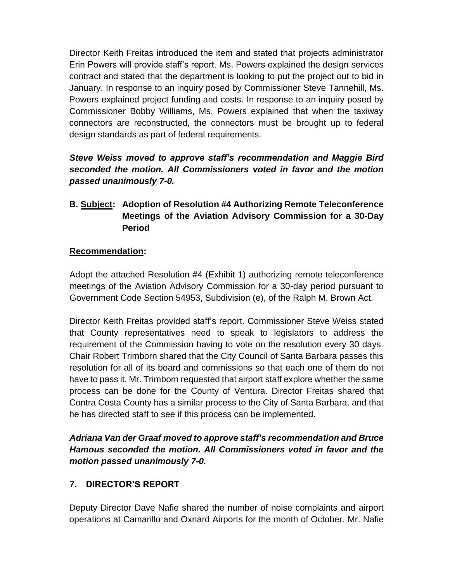Director Keith Freitas introduced the item and stated that projects administrator Erin Powers will provide staff's report. Ms. Powers explained the design services contract and stated that the department is looking to put the project out to bid in January. In response to an inquiry posed by Commissioner Steve Tannehill, Ms. Powers explained project funding and costs. In response to an inquiry posed by Commissioner Bobby Williams, Ms. Powers explained that when the taxiway connectors are reconstructed, the connectors must be brought up to federal design standards as part of federal requirements.

## *Steve Weiss moved to approve staff's recommendation and Maggie Bird seconded the motion. All Commissioners voted in favor and the motion passed unanimously 7-0.*

### **B. Subject: Adoption of Resolution #4 Authorizing Remote Teleconference Meetings of the Aviation Advisory Commission for a 30-Day Period**

### **Recommendation:**

Adopt the attached Resolution #4 (Exhibit 1) authorizing remote teleconference meetings of the Aviation Advisory Commission for a 30-day period pursuant to Government Code Section 54953, Subdivision (e), of the Ralph M. Brown Act.

Director Keith Freitas provided staff's report. Commissioner Steve Weiss stated that County representatives need to speak to legislators to address the requirement of the Commission having to vote on the resolution every 30 days. Chair Robert Trimborn shared that the City Council of Santa Barbara passes this resolution for all of its board and commissions so that each one of them do not have to pass it. Mr. Trimborn requested that airport staff explore whether the same process can be done for the County of Ventura. Director Freitas shared that Contra Costa County has a similar process to the City of Santa Barbara, and that he has directed staff to see if this process can be implemented.

*Adriana Van der Graaf moved to approve staff's recommendation and Bruce Hamous seconded the motion. All Commissioners voted in favor and the motion passed unanimously 7-0.* 

## **7. DIRECTOR'S REPORT**

Deputy Director Dave Nafie shared the number of noise complaints and airport operations at Camarillo and Oxnard Airports for the month of October. Mr. Nafie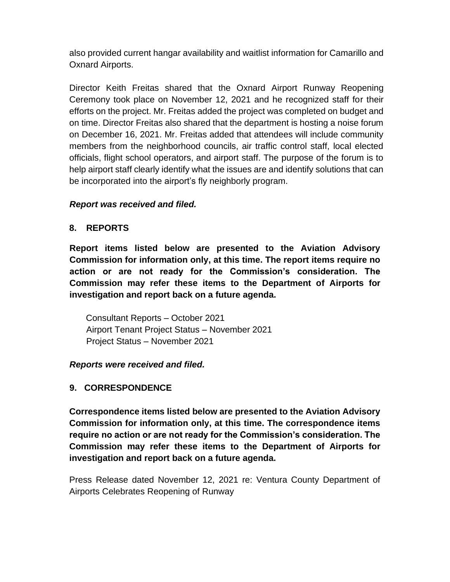also provided current hangar availability and waitlist information for Camarillo and Oxnard Airports.

Director Keith Freitas shared that the Oxnard Airport Runway Reopening Ceremony took place on November 12, 2021 and he recognized staff for their efforts on the project. Mr. Freitas added the project was completed on budget and on time. Director Freitas also shared that the department is hosting a noise forum on December 16, 2021. Mr. Freitas added that attendees will include community members from the neighborhood councils, air traffic control staff, local elected officials, flight school operators, and airport staff. The purpose of the forum is to help airport staff clearly identify what the issues are and identify solutions that can be incorporated into the airport's fly neighborly program.

#### *Report was received and filed.*

#### **8. REPORTS**

**Report items listed below are presented to the Aviation Advisory Commission for information only, at this time. The report items require no action or are not ready for the Commission's consideration. The Commission may refer these items to the Department of Airports for investigation and report back on a future agenda.** 

Consultant Reports – October 2021 Airport Tenant Project Status – November 2021 Project Status – November 2021

#### *Reports were received and filed.*

#### **9. CORRESPONDENCE**

**Correspondence items listed below are presented to the Aviation Advisory Commission for information only, at this time. The correspondence items require no action or are not ready for the Commission's consideration. The Commission may refer these items to the Department of Airports for investigation and report back on a future agenda.** 

Press Release dated November 12, 2021 re: Ventura County Department of Airports Celebrates Reopening of Runway